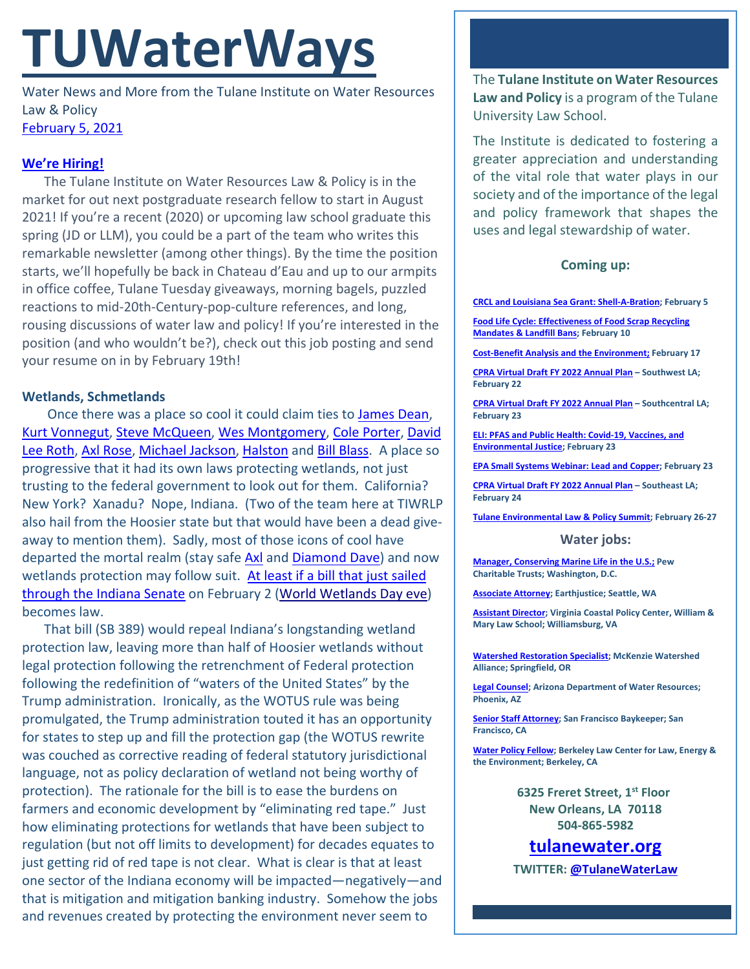# **TUWaterWays**

Water News and More from the Tulane Institute on Water Resources Law & Policy [February 5,](https://thisdayinwaterhistory.wordpress.com/) 2021

# **We're Hiring!**

The Tulane Institute on Water Resources Law & Policy is in the market for out next postgraduate research fellow to start in August 2021! If you're a recent (2020) or upcoming law school graduate this spring (JD or LLM), you could be a part of the team who writes this remarkable newsletter (among other things). By the time the position starts, we'll hopefully be back in Chateau d'Eau and up to our armpits in office coffee, Tulane Tuesday giveaways, morning bagels, puzzled reactions to mid-20th-Century-pop-culture references, and long, rousing discussions of water law and policy! If you're interested in the position (and who wouldn't be?), check out this job posting and send your resume on in by February 19th!

# **Wetlands, Schmetlands**

Once there was a place so cool it could claim ties to [James Dean,](https://www.youtube.com/watch?v=_rVpenRaaSs) [Kurt Vonnegut,](https://www.youtube.com/watch?v=eLwe-EFUF-A) [Steve McQueen,](https://www.youtube.com/watch?v=ec5iTVtj7z8) [Wes Montgomery,](https://www.youtube.com/watch?v=MOm17yw__6U) [Cole Porter,](https://vimeo.com/193103349) [David](https://www.youtube.com/watch?v=SwYN7mTi6HM)  [Lee Roth,](https://www.youtube.com/watch?v=SwYN7mTi6HM) [Axl Rose,](https://www.youtube.com/watch?v=1w7OgIMMRc4) [Michael Jackson,](https://www.youtube.com/watch?v=b6pomaq30Gg) [Halston](https://www.youtube.com/watch?v=pG499lzVjBE) and [Bill Blass.](https://www.youtube.com/watch?v=RnCmtVZcU5w) A place so progressive that it had its own laws protecting wetlands, not just trusting to the federal government to look out for them. California? New York? Xanadu? Nope, Indiana. (Two of the team here at TIWRLP also hail from the Hoosier state but that would have been a dead giveaway to mention them). Sadly, most of those icons of cool have departed the mortal realm (stay safe [Axl](https://www.youtube.com/watch?v=Kfrj1z7q3YI) and [Diamond Dave\)](https://www.youtube.com/watch?v=sHVWx-Dzc3k) and now wetlands protection may follow suit. [At least if a bill that just sailed](https://www.msn.com/en-us/news/us/last-line-of-defense-new-bill-would-strip-protections-for-many-of-indianas-wetlands/ar-BB1d3PJG)  [through the Indiana Senate](https://www.msn.com/en-us/news/us/last-line-of-defense-new-bill-would-strip-protections-for-many-of-indianas-wetlands/ar-BB1d3PJG) on February 2 [\(World Wetlands Day eve\)](https://www.worldwetlandsday.org/) becomes law.

That bill (SB 389) would repeal Indiana's longstanding wetland protection law, leaving more than half of Hoosier wetlands without legal protection following the retrenchment of Federal protection following the redefinition of "waters of the United States" by the Trump administration. Ironically, as the WOTUS rule was being promulgated, the Trump administration touted it has an opportunity for states to step up and fill the protection gap (the WOTUS rewrite was couched as corrective reading of federal statutory jurisdictional language, not as policy declaration of wetland not being worthy of protection). The rationale for the bill is to ease the burdens on farmers and economic development by "eliminating red tape." Just how eliminating protections for wetlands that have been subject to regulation (but not off limits to development) for decades equates to just getting rid of red tape is not clear. What is clear is that at least one sector of the Indiana economy will be impacted—negatively—and that is mitigation and mitigation banking industry. Somehow the jobs and revenues created by protecting the environment never seem to

The **Tulane Institute on Water Resources Law and Policy** is a program of the Tulane University Law School.

The Institute is dedicated to fostering a greater appreciation and understanding of the vital role that water plays in our society and of the importance of the legal and policy framework that shapes the uses and legal stewardship of water.

## **Coming up:**

**[CRCL and Louisiana Sea Grant: Shell-A-Bration;](https://www.laseagrant.org/event/crcl-shell-a-bration/?instance_id=1070) February 5 [Food Life Cycle: Effectiveness of Food Scrap Recycling](https://www.eli.org/events/food-life-cycle-effectiveness-food-scrap-recycling-mandates-landfill-bans)  [Mandates & Landfill Bans;](https://www.eli.org/events/food-life-cycle-effectiveness-food-scrap-recycling-mandates-landfill-bans) February 10**

**[Cost-Benefit Analysis and the Environment;](https://www.eli.org/events/cost-benefit-analysis-and-environment) February 17**

**[CPRA Virtual Draft FY 2022 Annual Plan](https://coastal.la.gov/calendar/) – Southwest LA; February 22**

**[CPRA Virtual Draft FY 2022 Annual Plan](https://coastal.la.gov/calendar/) – Southcentral LA; February 23**

**[ELI: PFAS and Public Health: Covid-19, Vaccines, and](https://www.eli.org/events/pfas-public-health-covid-19-vaccines-and-environmental-justice)  [Environmental Justice;](https://www.eli.org/events/pfas-public-health-covid-19-vaccines-and-environmental-justice) February 23**

**[EPA Small Systems Webinar: Lead and Copper;](https://www.epa.gov/water-research/small-systems-monthly-webinar-series) February 23**

**[CPRA Virtual Draft FY 2022 Annual Plan](https://coastal.la.gov/calendar/) – Southeast LA; February 24**

**[Tulane Environmental Law & Policy Summit;](https://tulaneenvironmentallawsummit.com/) February 26-27**

## **Water jobs:**

**[Manager, Conserving Marine Life in the U.S.;](https://jobs-pct.icims.com/jobs/6392/job?mobile=false&width=990&height=500&bga=true&needsRedirect=false&jan1offset=-360&jun1offset=-300) Pew Charitable Trusts; Washington, D.C.**

**[Associate Attorney;](https://jobs.jobvite.com/earthjustice/job/o2Modfw9?nl=1) Earthjustice; Seattle, WA**

**[Assistant Director;](https://jobs.wm.edu/postings/40167) Virginia Coastal Policy Center, William & Mary Law School; Williamsburg, VA**

**[Watershed Restoration Specialist;](https://www.mckenziewc.org/wp-content/uploads/2021/01/Job-Description-Restoration-Specialist_Final-Draft.edited.pdf) McKenzie Watershed Alliance; Springfield, OR**

**[Legal Counsel;](https://www.azstatejobs.gov/jobs/legal-counsel-phoenix-arizona-united-states) Arizona Department of Water Resources; Phoenix, AZ**

**[Senior Staff Attorney;](https://baykeeper.org/about-baykeeper/jobs-and-internships#seniorattorney) San Francisco Baykeeper; San Francisco, CA**

**[Water Policy Fellow;](https://www.law.berkeley.edu/research/clee/about/careers/water-policy-fellow/) Berkeley Law Center for Law, Energy & the Environment; Berkeley, CA**

> **6325 Freret Street, 1st Floor New Orleans, LA 70118 504-865-5982**

**tulanewater.org**

**TWITTER[: @TulaneWaterLaw](http://www.twitter.com/TulaneWaterLaw)**